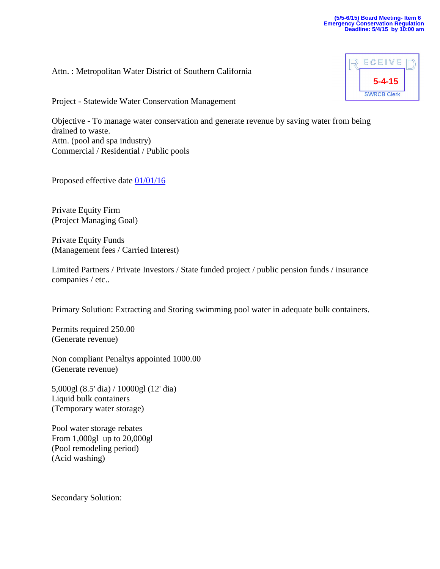Attn. : Metropolitan Water District of Southern California

Project - Statewide Water Conservation Management

Objective - To manage water conservation and generate revenue by saving water from being drained to waste. Attn. (pool and spa industry) Commercial / Residential / Public pools

Proposed effective date [01/01/16](x-apple-data-detectors://0/)

Private Equity Firm (Project Managing Goal)

Private Equity Funds (Management fees / Carried Interest)

Limited Partners / Private Investors / State funded project / public pension funds / insurance companies / etc..

Primary Solution: Extracting and Storing swimming pool water in adequate bulk containers.

Permits required 250.00 (Generate revenue)

Non compliant Penaltys appointed 1000.00 (Generate revenue)

5,000gl (8.5' dia) / 10000gl (12' dia) Liquid bulk containers (Temporary water storage)

Pool water storage rebates From 1,000gl up to 20,000gl (Pool remodeling period) (Acid washing)

Secondary Solution:

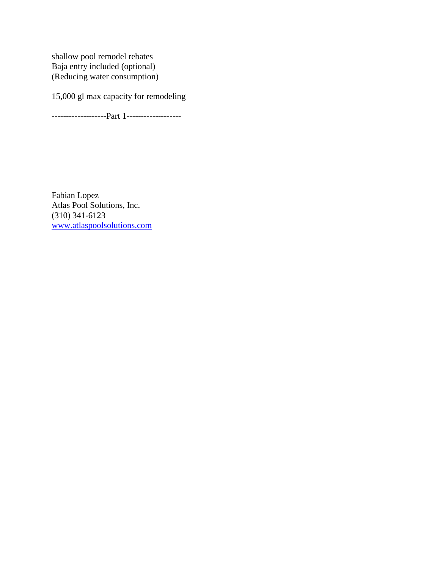shallow pool remodel rebates Baja entry included (optional) (Reducing water consumption)

15,000 gl max capacity for remodeling

-------------------Part 1-------------------

Fabian Lopez Atlas Pool Solutions, Inc. (310) 341-6123 [www.atlaspoolsolutions.com](http://www.atlaspoolsolutions.com/)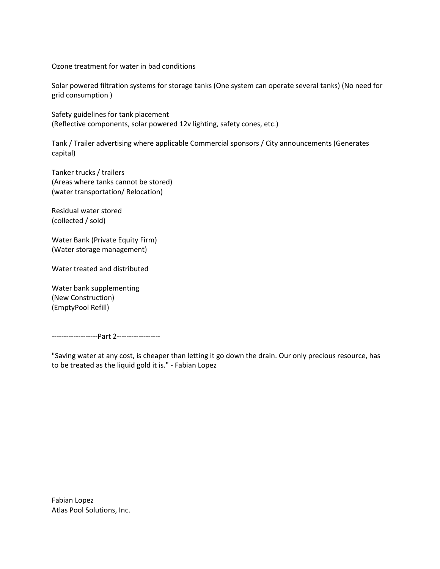Ozone treatment for water in bad conditions

Solar powered filtration systems for storage tanks (One system can operate several tanks) (No need for grid consumption )

Safety guidelines for tank placement (Reflective components, solar powered 12v lighting, safety cones, etc.)

Tank / Trailer advertising where applicable Commercial sponsors / City announcements (Generates capital)

Tanker trucks / trailers (Areas where tanks cannot be stored) (water transportation/ Relocation)

Residual water stored (collected / sold)

Water Bank (Private Equity Firm) (Water storage management)

Water treated and distributed

Water bank supplementing (New Construction) (EmptyPool Refill)

-------------------Part 2------------------

"Saving water at any cost, is cheaper than letting it go down the drain. Our only precious resource, has to be treated as the liquid gold it is." - Fabian Lopez

Fabian Lopez Atlas Pool Solutions, Inc.